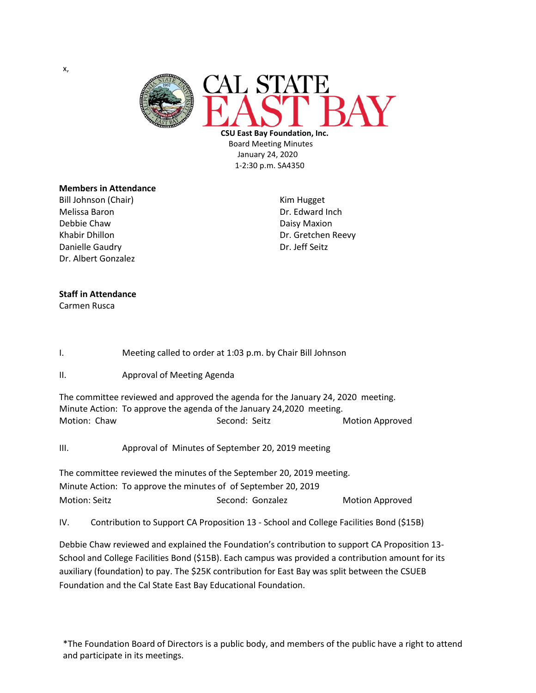

 **CSU East Bay Foundation, Inc.** Board Meeting Minutes January 24, 2020 1-2:30 p.m. SA4350

## **Members in Attendance**

Bill Johnson (Chair) **Kim Hugget** Kim Hugget Melissa Baron **Dr. Edward Inch** Debbie Chaw Daisy Maxion Khabir Dhillon **Dr. Gretchen Reevy** Danielle Gaudry **Dr. Jeff Seitz** Dr. Albert Gonzalez

## **Staff in Attendance**

Carmen Rusca

I. Meeting called to order at 1:03 p.m. by Chair Bill Johnson

II. Approval of Meeting Agenda

The committee reviewed and approved the agenda for the January 24, 2020 meeting. Minute Action: To approve the agenda of the January 24,2020 meeting. Motion: Chaw Second: Second: Seitz Motion Approved

III. Approval of Minutes of September 20, 2019 meeting

The committee reviewed the minutes of the September 20, 2019 meeting. Minute Action: To approve the minutes of of September 20, 2019 Motion: Seitz **Sexet Access Second: Gonzalez** Motion Approved

IV. Contribution to Support CA Proposition 13 - School and College Facilities Bond (\$15B)

Debbie Chaw reviewed and explained the Foundation's contribution to support CA Proposition 13- School and College Facilities Bond (\$15B). Each campus was provided a contribution amount for its auxiliary (foundation) to pay. The \$25K contribution for East Bay was split between the CSUEB Foundation and the Cal State East Bay Educational Foundation.

\*The Foundation Board of Directors is a public body, and members of the public have a right to attend and participate in its meetings.